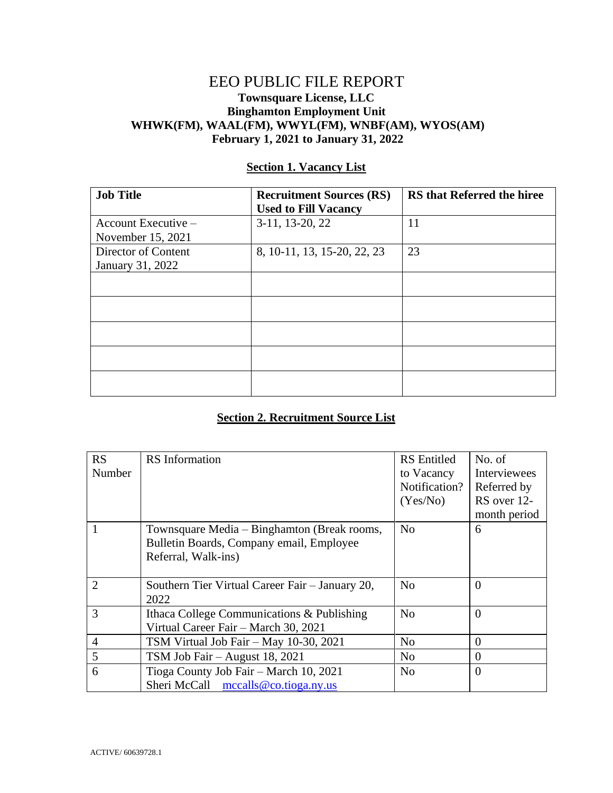## EEO PUBLIC FILE REPORT **Townsquare License, LLC Binghamton Employment Unit WHWK(FM), WAAL(FM), WWYL(FM), WNBF(AM), WYOS(AM) February 1, 2021 to January 31, 2022**

| <b>Job Title</b>      | <b>Recruitment Sources (RS)</b><br><b>Used to Fill Vacancy</b> | <b>RS</b> that Referred the hiree |
|-----------------------|----------------------------------------------------------------|-----------------------------------|
| Account Executive $-$ | 3-11, 13-20, 22                                                | 11                                |
| November 15, 2021     |                                                                |                                   |
| Director of Content   | 8, 10-11, 13, 15-20, 22, 23                                    | 23                                |
| January 31, 2022      |                                                                |                                   |
|                       |                                                                |                                   |
|                       |                                                                |                                   |
|                       |                                                                |                                   |
|                       |                                                                |                                   |
|                       |                                                                |                                   |

## **Section 1. Vacancy List**

## **Section 2. Recruitment Source List**

| <b>RS</b>      | <b>RS</b> Information                            | <b>RS</b> Entitled | No. of       |
|----------------|--------------------------------------------------|--------------------|--------------|
| Number         |                                                  | to Vacancy         | Interviewees |
|                |                                                  | Notification?      | Referred by  |
|                |                                                  | (Yes/No)           | RS over 12-  |
|                |                                                  |                    | month period |
|                | Townsquare Media - Binghamton (Break rooms,      | N <sub>o</sub>     | 6            |
|                | Bulletin Boards, Company email, Employee         |                    |              |
|                | Referral, Walk-ins)                              |                    |              |
|                |                                                  |                    |              |
| $\overline{2}$ | Southern Tier Virtual Career Fair – January 20,  | N <sub>0</sub>     | $\Omega$     |
|                | 2022                                             |                    |              |
| 3              | Ithaca College Communications & Publishing       | N <sub>0</sub>     | $\Omega$     |
|                | Virtual Career Fair - March 30, 2021             |                    |              |
| $\overline{4}$ | TSM Virtual Job Fair - May 10-30, 2021           | No                 | $\Omega$     |
| 5              | TSM Job Fair - August 18, 2021                   | N <sub>0</sub>     | $\theta$     |
| 6              | Tioga County Job Fair – March 10, 2021           | N <sub>0</sub>     | $\Omega$     |
|                | Sheri McCall $\arccos 0$ mccalls @co.tioga.ny.us |                    |              |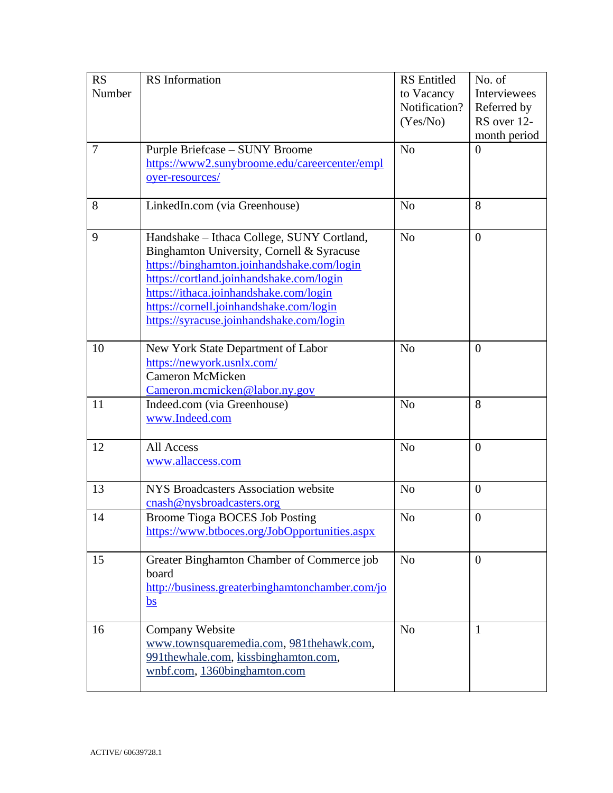| <b>RS</b>      | <b>RS</b> Information                           | <b>RS</b> Entitled | No. of           |
|----------------|-------------------------------------------------|--------------------|------------------|
| Number         |                                                 | to Vacancy         | Interviewees     |
|                |                                                 | Notification?      | Referred by      |
|                |                                                 | (Yes/No)           | RS over 12-      |
|                |                                                 |                    | month period     |
| $\overline{7}$ | Purple Briefcase - SUNY Broome                  | N <sub>o</sub>     | $\overline{0}$   |
|                | https://www2.sunybroome.edu/careercenter/empl   |                    |                  |
|                | oyer-resources/                                 |                    |                  |
|                |                                                 |                    |                  |
| 8              | LinkedIn.com (via Greenhouse)                   | N <sub>o</sub>     | 8                |
|                |                                                 |                    |                  |
| 9              | Handshake - Ithaca College, SUNY Cortland,      | N <sub>o</sub>     | $\overline{0}$   |
|                | Binghamton University, Cornell & Syracuse       |                    |                  |
|                | https://binghamton.joinhandshake.com/login      |                    |                  |
|                | https://cortland.joinhandshake.com/login        |                    |                  |
|                | https://ithaca.joinhandshake.com/login          |                    |                  |
|                | https://cornell.joinhandshake.com/login         |                    |                  |
|                | https://syracuse.joinhandshake.com/login        |                    |                  |
|                |                                                 |                    |                  |
| 10             | New York State Department of Labor              | N <sub>o</sub>     | $\overline{0}$   |
|                | https://newyork.usnlx.com/                      |                    |                  |
|                | <b>Cameron McMicken</b>                         |                    |                  |
|                | Cameron.mcmicken@labor.ny.gov                   |                    |                  |
| 11             | Indeed.com (via Greenhouse)                     | N <sub>o</sub>     | 8                |
|                | www.Indeed.com                                  |                    |                  |
|                |                                                 |                    |                  |
| 12             | All Access                                      | No                 | $\overline{0}$   |
|                | www.allaccess.com                               |                    |                  |
|                |                                                 |                    |                  |
| 13             | <b>NYS Broadcasters Association website</b>     | N <sub>o</sub>     | $\overline{0}$   |
|                | cnash@nysbroadcasters.org                       |                    |                  |
| 14             | Broome Tioga BOCES Job Posting                  | No                 | $\boldsymbol{0}$ |
|                | https://www.btboces.org/JobOpportunities.aspx   |                    |                  |
|                |                                                 |                    |                  |
| 15             | Greater Binghamton Chamber of Commerce job      | N <sub>o</sub>     | $\overline{0}$   |
|                | board                                           |                    |                  |
|                | http://business.greaterbinghamtonchamber.com/jo |                    |                  |
|                | bs                                              |                    |                  |
| 16             | Company Website                                 | N <sub>o</sub>     | 1                |
|                | www.townsquaremedia.com, 981thehawk.com,        |                    |                  |
|                | 991thewhale.com, kissbinghamton.com,            |                    |                  |
|                | wnbf.com, 1360binghamton.com                    |                    |                  |
|                |                                                 |                    |                  |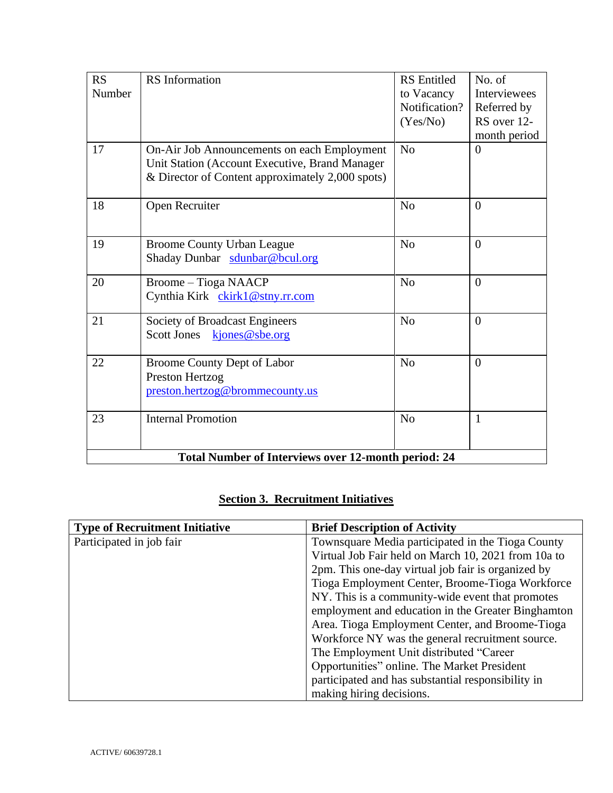| <b>RS</b>                                                  | <b>RS</b> Information                            | <b>RS</b> Entitled | No. of         |
|------------------------------------------------------------|--------------------------------------------------|--------------------|----------------|
| Number                                                     |                                                  | to Vacancy         | Interviewees   |
|                                                            |                                                  | Notification?      | Referred by    |
|                                                            |                                                  | (Yes/No)           | RS over 12-    |
|                                                            |                                                  |                    | month period   |
| 17                                                         | On-Air Job Announcements on each Employment      | N <sub>o</sub>     | $\overline{0}$ |
|                                                            | Unit Station (Account Executive, Brand Manager   |                    |                |
|                                                            | & Director of Content approximately 2,000 spots) |                    |                |
| 18                                                         | Open Recruiter                                   | N <sub>o</sub>     | $\theta$       |
|                                                            |                                                  |                    |                |
| 19                                                         | <b>Broome County Urban League</b>                | N <sub>o</sub>     | $\overline{0}$ |
|                                                            | Shaday Dunbar sdunbar@bcul.org                   |                    |                |
| 20                                                         | <b>Broome</b> - Tioga NAACP                      | N <sub>o</sub>     | $\theta$       |
|                                                            | Cynthia Kirk ckirk1@stny.rr.com                  |                    |                |
| 21                                                         | Society of Broadcast Engineers                   | N <sub>o</sub>     | $\overline{0}$ |
|                                                            | <b>Scott Jones</b><br>kjones@sbe.org             |                    |                |
| 22                                                         | Broome County Dept of Labor                      | N <sub>o</sub>     | $\overline{0}$ |
|                                                            | Preston Hertzog                                  |                    |                |
|                                                            | preston.hertzog@brommecounty.us                  |                    |                |
| 23                                                         | <b>Internal Promotion</b>                        | N <sub>o</sub>     | $\mathbf{1}$   |
|                                                            |                                                  |                    |                |
| <b>Total Number of Interviews over 12-month period: 24</b> |                                                  |                    |                |

## **Section 3. Recruitment Initiatives**

| <b>Type of Recruitment Initiative</b> | <b>Brief Description of Activity</b>                |
|---------------------------------------|-----------------------------------------------------|
| Participated in job fair              | Townsquare Media participated in the Tioga County   |
|                                       | Virtual Job Fair held on March 10, 2021 from 10a to |
|                                       | 2pm. This one-day virtual job fair is organized by  |
|                                       | Tioga Employment Center, Broome-Tioga Workforce     |
|                                       | NY. This is a community-wide event that promotes    |
|                                       | employment and education in the Greater Binghamton  |
|                                       | Area. Tioga Employment Center, and Broome-Tioga     |
|                                       | Workforce NY was the general recruitment source.    |
|                                       | The Employment Unit distributed "Career"            |
|                                       | Opportunities" online. The Market President         |
|                                       | participated and has substantial responsibility in  |
|                                       | making hiring decisions.                            |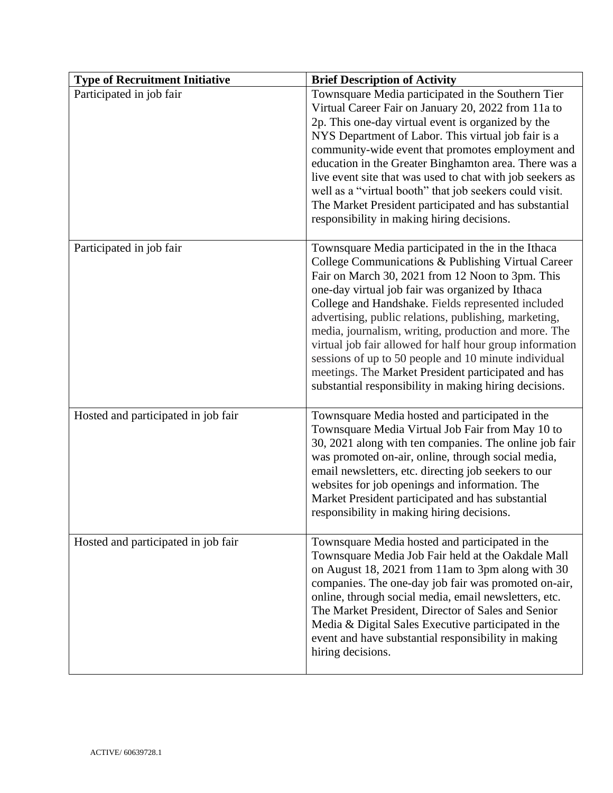| <b>Type of Recruitment Initiative</b> | <b>Brief Description of Activity</b>                                                                                                                                                                                                                                                                                                                                                                                                                                                                                                                                                                                         |
|---------------------------------------|------------------------------------------------------------------------------------------------------------------------------------------------------------------------------------------------------------------------------------------------------------------------------------------------------------------------------------------------------------------------------------------------------------------------------------------------------------------------------------------------------------------------------------------------------------------------------------------------------------------------------|
| Participated in job fair              | Townsquare Media participated in the Southern Tier<br>Virtual Career Fair on January 20, 2022 from 11a to<br>2p. This one-day virtual event is organized by the<br>NYS Department of Labor. This virtual job fair is a<br>community-wide event that promotes employment and<br>education in the Greater Binghamton area. There was a<br>live event site that was used to chat with job seekers as<br>well as a "virtual booth" that job seekers could visit.<br>The Market President participated and has substantial<br>responsibility in making hiring decisions.                                                          |
| Participated in job fair              | Townsquare Media participated in the in the Ithaca<br>College Communications & Publishing Virtual Career<br>Fair on March 30, 2021 from 12 Noon to 3pm. This<br>one-day virtual job fair was organized by Ithaca<br>College and Handshake. Fields represented included<br>advertising, public relations, publishing, marketing,<br>media, journalism, writing, production and more. The<br>virtual job fair allowed for half hour group information<br>sessions of up to 50 people and 10 minute individual<br>meetings. The Market President participated and has<br>substantial responsibility in making hiring decisions. |
| Hosted and participated in job fair   | Townsquare Media hosted and participated in the<br>Townsquare Media Virtual Job Fair from May 10 to<br>30, 2021 along with ten companies. The online job fair<br>was promoted on-air, online, through social media,<br>email newsletters, etc. directing job seekers to our<br>websites for job openings and information. The<br>Market President participated and has substantial<br>responsibility in making hiring decisions.                                                                                                                                                                                             |
| Hosted and participated in job fair   | Townsquare Media hosted and participated in the<br>Townsquare Media Job Fair held at the Oakdale Mall<br>on August 18, 2021 from 11am to 3pm along with 30<br>companies. The one-day job fair was promoted on-air,<br>online, through social media, email newsletters, etc.<br>The Market President, Director of Sales and Senior<br>Media & Digital Sales Executive participated in the<br>event and have substantial responsibility in making<br>hiring decisions.                                                                                                                                                         |